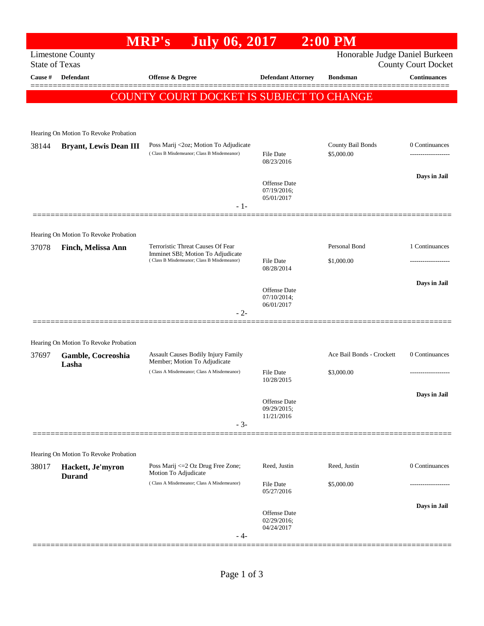|                                                                                                                  |                                                             | <b>July 06, 2017</b><br><b>MRP's</b>                                            |                                           | $2:00$ PM                 |                     |  |  |  |
|------------------------------------------------------------------------------------------------------------------|-------------------------------------------------------------|---------------------------------------------------------------------------------|-------------------------------------------|---------------------------|---------------------|--|--|--|
| <b>Limestone County</b><br>Honorable Judge Daniel Burkeen<br><b>State of Texas</b><br><b>County Court Docket</b> |                                                             |                                                                                 |                                           |                           |                     |  |  |  |
| Cause #                                                                                                          | <b>Defendant</b>                                            | <b>Offense &amp; Degree</b>                                                     | <b>Defendant Attorney</b>                 | <b>Bondsman</b>           | <b>Continuances</b> |  |  |  |
|                                                                                                                  |                                                             | COUNTY COURT DOCKET IS SUBJECT TO CHANGE                                        |                                           |                           |                     |  |  |  |
|                                                                                                                  |                                                             |                                                                                 |                                           |                           |                     |  |  |  |
|                                                                                                                  |                                                             |                                                                                 |                                           |                           |                     |  |  |  |
|                                                                                                                  | Hearing On Motion To Revoke Probation                       | Poss Marij <2oz; Motion To Adjudicate                                           |                                           | County Bail Bonds         | 0 Continuances      |  |  |  |
| 38144                                                                                                            | <b>Bryant, Lewis Dean III</b>                               | (Class B Misdemeanor; Class B Misdemeanor)                                      | File Date<br>08/23/2016                   | \$5,000.00                | ---------------     |  |  |  |
|                                                                                                                  |                                                             |                                                                                 |                                           |                           | Days in Jail        |  |  |  |
|                                                                                                                  |                                                             |                                                                                 | Offense Date<br>07/19/2016;<br>05/01/2017 |                           |                     |  |  |  |
|                                                                                                                  |                                                             | $-1-$                                                                           |                                           |                           |                     |  |  |  |
|                                                                                                                  |                                                             |                                                                                 |                                           |                           |                     |  |  |  |
| 37078                                                                                                            | Hearing On Motion To Revoke Probation<br>Finch, Melissa Ann | Terroristic Threat Causes Of Fear                                               |                                           | Personal Bond             | 1 Continuances      |  |  |  |
|                                                                                                                  |                                                             | Imminet SBI; Motion To Adjudicate<br>(Class B Misdemeanor; Class B Misdemeanor) | File Date                                 | \$1,000.00                | .                   |  |  |  |
|                                                                                                                  |                                                             |                                                                                 | 08/28/2014                                |                           |                     |  |  |  |
|                                                                                                                  |                                                             |                                                                                 | Offense Date<br>07/10/2014;               |                           | Days in Jail        |  |  |  |
|                                                                                                                  |                                                             | $-2-$                                                                           | 06/01/2017                                |                           |                     |  |  |  |
|                                                                                                                  |                                                             |                                                                                 |                                           |                           |                     |  |  |  |
|                                                                                                                  | Hearing On Motion To Revoke Probation                       |                                                                                 |                                           |                           |                     |  |  |  |
| 37697                                                                                                            | Gamble, Cocreoshia<br>Lasha                                 | Assault Causes Bodily Injury Family<br>Member; Motion To Adjudicate             |                                           | Ace Bail Bonds - Crockett | 0 Continuances      |  |  |  |
|                                                                                                                  |                                                             | (Class A Misdemeanor; Class A Misdemeanor)                                      | File Date<br>10/28/2015                   | \$3,000.00                |                     |  |  |  |
|                                                                                                                  |                                                             |                                                                                 |                                           |                           | Days in Jail        |  |  |  |
|                                                                                                                  |                                                             |                                                                                 | Offense Date<br>09/29/2015;<br>11/21/2016 |                           |                     |  |  |  |
|                                                                                                                  |                                                             | $-3-$                                                                           |                                           |                           |                     |  |  |  |
|                                                                                                                  |                                                             |                                                                                 |                                           |                           |                     |  |  |  |
|                                                                                                                  | Hearing On Motion To Revoke Probation                       |                                                                                 |                                           |                           | 0 Continuances      |  |  |  |
| 38017                                                                                                            | Hackett, Je'myron<br><b>Durand</b>                          | Poss Marij <= 2 Oz Drug Free Zone;<br>Motion To Adjudicate                      | Reed, Justin                              | Reed, Justin              |                     |  |  |  |
|                                                                                                                  |                                                             | (Class A Misdemeanor; Class A Misdemeanor)                                      | <b>File Date</b><br>05/27/2016            | \$5,000.00                |                     |  |  |  |
|                                                                                                                  |                                                             |                                                                                 |                                           |                           | Days in Jail        |  |  |  |
|                                                                                                                  |                                                             |                                                                                 | Offense Date<br>02/29/2016;<br>04/24/2017 |                           |                     |  |  |  |
|                                                                                                                  |                                                             | - 4-                                                                            |                                           |                           |                     |  |  |  |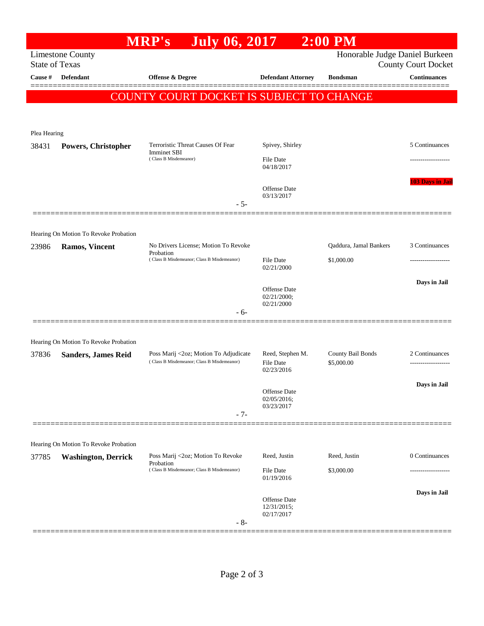|              |                                                  | July 06, 2017<br><b>MRP's</b>                                                                   |                                                    | $2:00$ PM                            |                            |
|--------------|--------------------------------------------------|-------------------------------------------------------------------------------------------------|----------------------------------------------------|--------------------------------------|----------------------------|
|              | <b>Limestone County</b><br><b>State of Texas</b> |                                                                                                 |                                                    | Honorable Judge Daniel Burkeen       | <b>County Court Docket</b> |
| Cause #      | Defendant                                        | Offense & Degree                                                                                | <b>Defendant Attorney</b>                          | <b>Bondsman</b>                      | <b>Continuances</b>        |
|              |                                                  | COUNTY COURT DOCKET IS SUBJECT TO CHANGE                                                        |                                                    |                                      |                            |
| Plea Hearing |                                                  |                                                                                                 |                                                    |                                      |                            |
| 38431        | Powers, Christopher                              | Terroristic Threat Causes Of Fear<br>Imminet SBI<br>(Class B Misdemeanor)                       | Spivey, Shirley                                    |                                      | 5 Continuances             |
|              |                                                  |                                                                                                 | File Date<br>04/18/2017                            |                                      |                            |
|              |                                                  | $-5-$                                                                                           | <b>Offense</b> Date<br>03/13/2017                  |                                      | <b>103 Days in Jail</b>    |
|              |                                                  |                                                                                                 |                                                    |                                      |                            |
|              | Hearing On Motion To Revoke Probation            |                                                                                                 |                                                    |                                      | 3 Continuances             |
| 23986        | <b>Ramos, Vincent</b>                            | No Drivers License; Motion To Revoke<br>Probation<br>(Class B Misdemeanor; Class B Misdemeanor) | File Date<br>02/21/2000                            | Qaddura, Jamal Bankers<br>\$1,000.00 |                            |
|              |                                                  |                                                                                                 | <b>Offense</b> Date<br>02/21/2000;                 |                                      | Days in Jail               |
|              |                                                  | $-6-$                                                                                           | 02/21/2000                                         |                                      |                            |
|              | Hearing On Motion To Revoke Probation            |                                                                                                 |                                                    |                                      |                            |
| 37836        | <b>Sanders, James Reid</b>                       | Poss Marij <2oz; Motion To Adjudicate<br>(Class B Misdemeanor; Class B Misdemeanor)             | Reed, Stephen M.<br><b>File Date</b><br>02/23/2016 | County Bail Bonds<br>\$5,000.00      | 2 Continuances             |
|              |                                                  |                                                                                                 | Offense Date<br>02/05/2016;<br>03/23/2017          |                                      | Days in Jail               |
|              |                                                  | $-7-$                                                                                           |                                                    |                                      |                            |
|              | Hearing On Motion To Revoke Probation            |                                                                                                 |                                                    |                                      |                            |
| 37785        | <b>Washington, Derrick</b><br>Probation          | Poss Marij <2oz; Motion To Revoke                                                               | Reed, Justin                                       | Reed, Justin                         | 0 Continuances             |
|              |                                                  | (Class B Misdemeanor; Class B Misdemeanor)                                                      | <b>File Date</b><br>01/19/2016                     | \$3,000.00                           |                            |
|              |                                                  |                                                                                                 | Offense Date<br>12/31/2015;                        |                                      | Days in Jail               |
|              |                                                  | $-8-$                                                                                           | 02/17/2017                                         |                                      |                            |